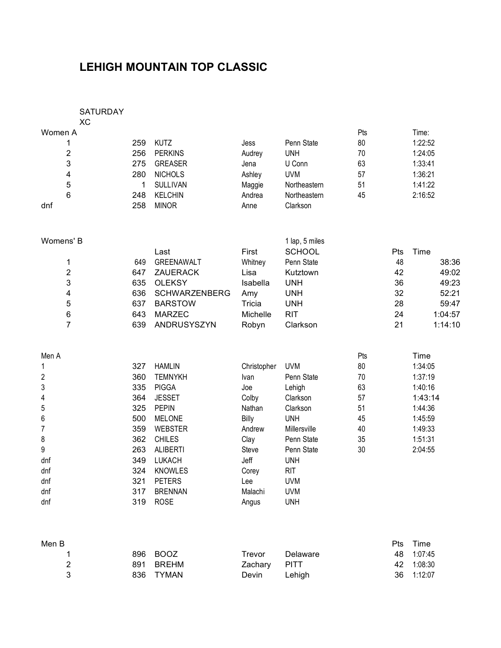# **LEHIGH MOUNTAIN TOP CLASSIC**

### SATURDAY

|         | SAIURDAY |                 |        |              |     |         |
|---------|----------|-----------------|--------|--------------|-----|---------|
|         | XС       |                 |        |              |     |         |
| Women A |          |                 |        |              | Pts | Time:   |
|         | 259      | KUTZ            | Jess   | Penn State   | 80  | 1:22:52 |
| 2       | 256      | <b>PERKINS</b>  | Audrey | <b>UNH</b>   | 70  | 1:24:05 |
| 3       | 275      | <b>GREASER</b>  | Jena   | U Conn       | 63  | 1:33:41 |
| 4       | 280      | <b>NICHOLS</b>  | Ashley | <b>UVM</b>   | 57  | 1:36:21 |
| 5       |          | <b>SULLIVAN</b> | Maggie | Northeastern | 51  | 1:41:22 |
| 6       | 248      | <b>KELCHIN</b>  | Andrea | Northeastern | 45  | 2:16:52 |
| dnf     | 258      | <b>MINOR</b>    | Anne   | Clarkson     |     |         |
|         |          |                 |        |              |     |         |

| Womens' B |     |                      |          | 1 lap, 5 miles |     |         |
|-----------|-----|----------------------|----------|----------------|-----|---------|
|           |     | Last                 | First    | <b>SCHOOL</b>  | Pts | Time    |
|           | 649 | <b>GREENAWALT</b>    | Whitney  | Penn State     | 48  | 38:36   |
| 2         | 647 | <b>ZAUERACK</b>      | Lisa     | Kutztown       | 42  | 49:02   |
| 3         | 635 | OLEKSY               | Isabella | <b>UNH</b>     | 36  | 49:23   |
| 4         | 636 | <b>SCHWARZENBERG</b> | Amy      | <b>UNH</b>     | 32  | 52:21   |
| 5         | 637 | <b>BARSTOW</b>       | Tricia   | <b>UNH</b>     | 28  | 59:47   |
| 6         | 643 | <b>MARZEC</b>        | Michelle | <b>RIT</b>     | 24  | 1:04:57 |
|           | 639 | ANDRUSYSZYN          | Robyn    | Clarkson       | 21  | 1:14:10 |

| Men A          |     |                 |             |              | Pts | Time    |
|----------------|-----|-----------------|-------------|--------------|-----|---------|
| 1              | 327 | <b>HAMLIN</b>   | Christopher | <b>UVM</b>   | 80  | 1:34:05 |
| $\overline{c}$ | 360 | <b>TEMNYKH</b>  | Ivan        | Penn State   | 70  | 1:37:19 |
| 3              | 335 | <b>PIGGA</b>    | Joe         | Lehigh       | 63  | 1:40:16 |
| 4              | 364 | <b>JESSET</b>   | Colby       | Clarkson     | 57  | 1:43:14 |
| 5              | 325 | <b>PEPIN</b>    | Nathan      | Clarkson     | 51  | 1:44:36 |
| 6              | 500 | <b>MELONE</b>   | Billy       | <b>UNH</b>   | 45  | 1:45:59 |
| 7              | 359 | <b>WEBSTER</b>  | Andrew      | Millersville | 40  | 1:49:33 |
| 8              | 362 | <b>CHILES</b>   | Clay        | Penn State   | 35  | 1:51:31 |
| 9              | 263 | <b>ALIBERTI</b> | Steve       | Penn State   | 30  | 2:04:55 |
| dnf            | 349 | <b>LUKACH</b>   | Jeff        | <b>UNH</b>   |     |         |
| dnf            | 324 | <b>KNOWLES</b>  | Corey       | <b>RIT</b>   |     |         |
| dnf            | 321 | <b>PETERS</b>   | Lee         | <b>UVM</b>   |     |         |
| dnf            | 317 | <b>BRENNAN</b>  | Malachi     | <b>UVM</b>   |     |         |
| dnf            | 319 | <b>ROSE</b>     | Angus       | <b>UNH</b>   |     |         |
|                |     |                 |             |              |     |         |

| Men B |           |              |          | <b>Pts</b> | Time       |
|-------|-----------|--------------|----------|------------|------------|
|       | 896 BOOZ  | Trevor       | Delaware | 48         | 1:07:45    |
| 2     | 891 BREHM | Zachary PITT |          |            | 42 1:08:30 |
| 3     | 836 TYMAN | Devin        | Lehiah   |            | 36 1:12:07 |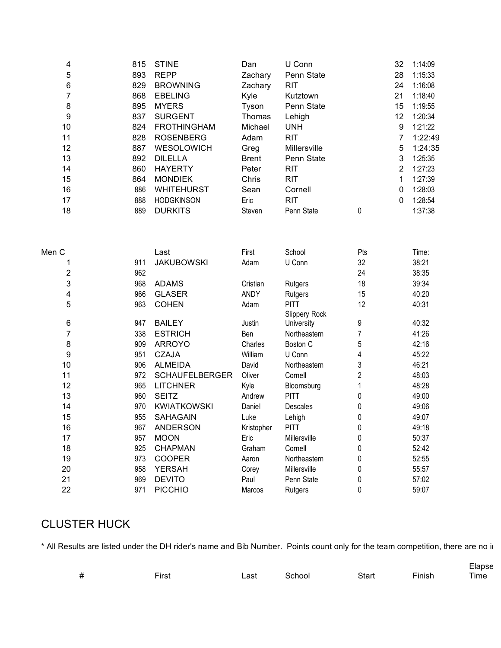| 4                | 815 | <b>STINE</b>          | Dan          | U Conn        |                | 32             | 1:14:09 |
|------------------|-----|-----------------------|--------------|---------------|----------------|----------------|---------|
| 5                | 893 | <b>REPP</b>           | Zachary      | Penn State    |                | 28             | 1:15:33 |
| 6                | 829 | <b>BROWNING</b>       | Zachary      | <b>RIT</b>    |                | 24             | 1:16:08 |
| 7                | 868 | <b>EBELING</b>        | Kyle         | Kutztown      |                | 21             | 1:18:40 |
| 8                | 895 | <b>MYERS</b>          | Tyson        | Penn State    |                | 15             | 1:19:55 |
| 9                | 837 | <b>SURGENT</b>        | Thomas       | Lehigh        |                | 12             | 1:20:34 |
| 10               | 824 | <b>FROTHINGHAM</b>    | Michael      | <b>UNH</b>    |                | 9              | 1:21:22 |
| 11               | 828 | <b>ROSENBERG</b>      | Adam         | <b>RIT</b>    |                | 7              | 1:22:49 |
| 12               | 887 | WESOLOWICH            | Greg         | Millersville  |                | 5              | 1:24:35 |
| 13               | 892 | <b>DILELLA</b>        | <b>Brent</b> | Penn State    |                | 3              | 1:25:35 |
| 14               | 860 | <b>HAYERTY</b>        | Peter        | <b>RIT</b>    |                | $\overline{2}$ | 1:27:23 |
| 15               | 864 | <b>MONDIEK</b>        | Chris        | <b>RIT</b>    |                | 1              | 1:27:39 |
| 16               | 886 | <b>WHITEHURST</b>     | Sean         | Cornell       |                | 0              | 1:28:03 |
| 17               | 888 | <b>HODGKINSON</b>     | Eric         | <b>RIT</b>    |                | 0              | 1:28:54 |
| 18               | 889 | <b>DURKITS</b>        | Steven       | Penn State    | 0              |                | 1:37:38 |
|                  |     |                       |              |               |                |                |         |
| Men C            |     | Last                  | First        | School        | Pts            |                | Time:   |
| 1                | 911 | <b>JAKUBOWSKI</b>     | Adam         | U Conn        | 32             |                | 38:21   |
| 2                | 962 |                       |              |               | 24             |                | 38:35   |
| 3                | 968 | <b>ADAMS</b>          | Cristian     | Rutgers       | 18             |                | 39:34   |
| 4                | 966 | <b>GLASER</b>         | ANDY         | Rutgers       | 15             |                | 40:20   |
| 5                | 963 | <b>COHEN</b>          | Adam         | <b>PITT</b>   | 12             |                | 40:31   |
|                  |     |                       |              | Slippery Rock |                |                |         |
| 6                | 947 | <b>BAILEY</b>         | Justin       | University    | 9              |                | 40:32   |
| 7                | 338 | <b>ESTRICH</b>        | Ben          | Northeastern  | $\overline{7}$ |                | 41:26   |
| $\bf 8$          | 909 | <b>ARROYO</b>         | Charles      | Boston C      | 5              |                | 42:16   |
| $\boldsymbol{9}$ | 951 | <b>CZAJA</b>          | William      | U Conn        | 4              |                | 45:22   |
| 10               | 906 | <b>ALMEIDA</b>        | David        | Northeastern  | 3              |                | 46:21   |
| 11               | 972 | <b>SCHAUFELBERGER</b> | Oliver       | Cornell       | $\overline{2}$ |                | 48:03   |
| 12               | 965 | <b>LITCHNER</b>       | Kyle         | Bloomsburg    | 1              |                | 48:28   |
| 13               | 960 | <b>SEITZ</b>          | Andrew       | <b>PITT</b>   | 0              |                | 49:00   |
| 14               | 970 | <b>KWIATKOWSKI</b>    | Daniel       | Descales      | 0              |                | 49:06   |
| 15               | 955 | <b>SAHAGAIN</b>       | Luke         | Lehigh        | 0              |                | 49:07   |
| 16               | 967 | ANDERSON              | Kristopher   | <b>PITT</b>   | 0              |                | 49:18   |
| 17               | 957 | <b>MOON</b>           | Eric         | Millersville  | 0              |                | 50:37   |
| 18               | 925 | <b>CHAPMAN</b>        | Graham       | Cornell       | 0              |                | 52:42   |
| 19               | 973 | <b>COOPER</b>         | Aaron        | Northeastern  | 0              |                | 52:55   |
| 20               | 958 | <b>YERSAH</b>         | Corey        | Millersville  | 0              |                | 55:57   |
| 21               | 969 | <b>DEVITO</b>         | Paul         | Penn State    | 0              |                | 57:02   |
| 22               | 971 | <b>PICCHIO</b>        | Marcos       | Rutgers       | 0              |                | 59:07   |

## CLUSTER HUCK

\* All Results are listed under the DH rider's name and Bib Number. Points count only for the team competition, there are no in

|   |       |      |        |              |        | Elapse |
|---|-------|------|--------|--------------|--------|--------|
| # | First | Last | School | <b>Start</b> | Finish | Time   |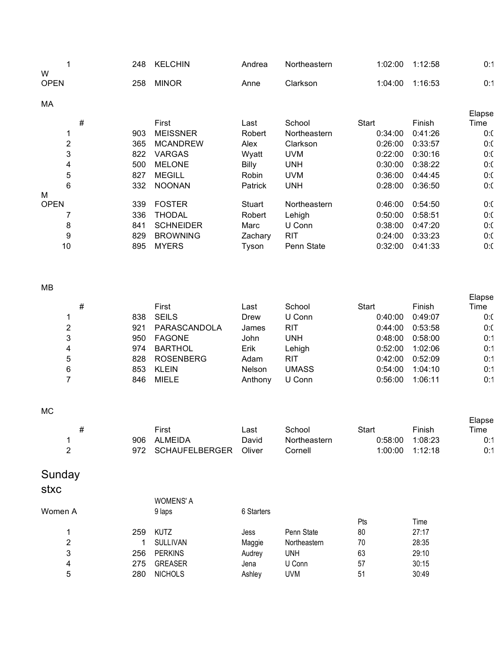|                  |                  | 248 | <b>KELCHIN</b>   | Andrea  | Northeastern | 1:02:00 | 1:12:58 | 0:1    |
|------------------|------------------|-----|------------------|---------|--------------|---------|---------|--------|
| W<br><b>OPEN</b> |                  | 258 | <b>MINOR</b>     | Anne    | Clarkson     | 1:04:00 | 1:16:53 | 0:1    |
| МA               |                  |     |                  |         |              |         |         |        |
|                  |                  |     |                  |         |              |         |         | Elapse |
|                  | #                |     | First            | Last    | School       | Start   | Finish  | Time   |
|                  |                  | 903 | <b>MEISSNER</b>  | Robert  | Northeastern | 0:34:00 | 0:41:26 | 0:0    |
|                  | $\boldsymbol{2}$ | 365 | <b>MCANDREW</b>  | Alex    | Clarkson     | 0:26:00 | 0:33:57 | 0:0    |
|                  | 3                | 822 | VARGAS           | Wyatt   | <b>UVM</b>   | 0:22:00 | 0:30:16 | 0:0    |
|                  | 4                | 500 | <b>MELONE</b>    | Billy   | <b>UNH</b>   | 0:30:00 | 0:38:22 | 0:0    |
|                  | 5                | 827 | <b>MEGILL</b>    | Robin   | <b>UVM</b>   | 0:36:00 | 0:44:45 | 0:0    |
|                  | 6                | 332 | <b>NOONAN</b>    | Patrick | <b>UNH</b>   | 0:28:00 | 0:36:50 | 0:0    |
| м                |                  |     |                  |         |              |         |         |        |
| <b>OPEN</b>      |                  | 339 | <b>FOSTER</b>    | Stuart  | Northeastern | 0:46:00 | 0:54:50 | 0:0    |
|                  | 7                | 336 | THODAL           | Robert  | Lehigh       | 0:50:00 | 0:58:51 | 0:0    |
|                  | 8                | 841 | <b>SCHNEIDER</b> | Marc    | U Conn       | 0:38:00 | 0:47:20 | 0:0    |
|                  | 9                | 829 | <b>BROWNING</b>  | Zachary | <b>RIT</b>   | 0:24:00 | 0:33:23 | 0:0    |
|                  | 10               | 895 | <b>MYERS</b>     | Tyson   | Penn State   | 0:32:00 | 0:41:33 | 0:0    |
|                  |                  |     |                  |         |              |         |         |        |

### MB

|   | # |     | First            | Last          | School     | Start   | Finish  | Elapse<br>Time |
|---|---|-----|------------------|---------------|------------|---------|---------|----------------|
|   |   | 838 | <b>SEILS</b>     | Drew          | U Conn     | 0:40:00 | 0:49:07 | 0:0            |
| 2 |   | 921 | PARASCANDOLA     | James         | <b>RIT</b> | 0:44:00 | 0:53:58 | 0:0            |
| 3 |   | 950 | <b>FAGONE</b>    | John          | UNH        | 0:48:00 | 0:58:00 | 0:1            |
| 4 |   | 974 | <b>BARTHOL</b>   | Erik          | Lehigh     | 0:52:00 | 1:02:06 | 0:1            |
| 5 |   | 828 | <b>ROSENBERG</b> | Adam          | <b>RIT</b> | 0:42:00 | 0:52:09 | 0:1            |
| 6 |   | 853 | <b>KLEIN</b>     | <b>Nelson</b> | UMASS      | 0:54:00 | 1:04:10 | 0:1            |
|   |   | 846 | <b>MIELE</b>     | Anthony       | U Conn     | 0:56:00 | 1:06:11 | 0:1            |

### MC

|  |     | First                 | ∟ast   | School       | Start   | Finish  | Elapse<br>Time |
|--|-----|-----------------------|--------|--------------|---------|---------|----------------|
|  | 906 | <b>ALMEIDA</b>        | David  | Northeastern | 0:58:00 | 1:08:23 | 0:1            |
|  | 972 | <b>SCHAUFELBERGER</b> | Oliver | Cornell      | 1:00:00 | 1:12:18 | 0:1            |

# Sunday

## stxc

|         |     | <b>WOMENS' A</b> |            |              |     |       |
|---------|-----|------------------|------------|--------------|-----|-------|
| Women A |     | 9 laps           | 6 Starters |              |     |       |
|         |     |                  |            |              | Pts | Time  |
|         | 259 | <b>KUTZ</b>      | Jess       | Penn State   | 80  | 27:17 |
| 2       |     | <b>SULLIVAN</b>  | Maggie     | Northeastern | 70  | 28:35 |
| 3       | 256 | <b>PERKINS</b>   | Audrey     | unh          | 63  | 29:10 |
| 4       | 275 | <b>GREASER</b>   | Jena       | U Conn       | 57  | 30:15 |
| 5       | 280 | <b>NICHOLS</b>   | Ashley     | UVM          | 51  | 30:49 |
|         |     |                  |            |              |     |       |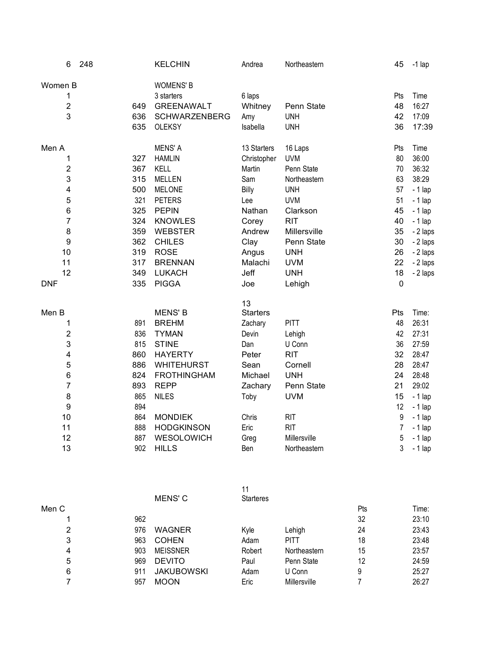| 6                       | 248 |     | <b>KELCHIN</b>       | Andrea          | Northeastern | 45             | $-1$ lap |
|-------------------------|-----|-----|----------------------|-----------------|--------------|----------------|----------|
| Women B                 |     |     | <b>WOMENS' B</b>     |                 |              |                |          |
| 1                       |     |     | 3 starters           | 6 laps          |              | Pts            | Time     |
| $\overline{c}$          |     | 649 | <b>GREENAWALT</b>    | Whitney         | Penn State   | 48             | 16:27    |
| 3                       |     | 636 | <b>SCHWARZENBERG</b> | Amy             | <b>UNH</b>   | 42             | 17:09    |
|                         |     | 635 | <b>OLEKSY</b>        | Isabella        | <b>UNH</b>   | 36             | 17:39    |
| Men A                   |     |     | <b>MENS' A</b>       | 13 Starters     | 16 Laps      | Pts            | Time     |
| 1                       |     | 327 | <b>HAMLIN</b>        | Christopher     | <b>UVM</b>   | 80             | 36:00    |
| $\overline{2}$          |     | 367 | <b>KELL</b>          | Martin          | Penn State   | 70             | 36:32    |
| 3                       |     | 315 | <b>MELLEN</b>        | Sam             | Northeastern | 63             | 38:29    |
| 4                       |     | 500 | <b>MELONE</b>        | Billy           | <b>UNH</b>   | 57             | $-1$ lap |
| 5                       |     | 321 | <b>PETERS</b>        | Lee             | <b>UVM</b>   | 51             | $-1$ lap |
| 6                       |     | 325 | <b>PEPIN</b>         | Nathan          | Clarkson     | 45             | $-1$ lap |
| $\overline{7}$          |     | 324 | <b>KNOWLES</b>       | Corey           | <b>RIT</b>   | 40             | $-1$ lap |
| 8                       |     | 359 | <b>WEBSTER</b>       | Andrew          | Millersville | 35             | - 2 laps |
| 9                       |     | 362 | <b>CHILES</b>        | Clay            | Penn State   | 30             | - 2 laps |
| 10                      |     | 319 | <b>ROSE</b>          | Angus           | <b>UNH</b>   | 26             | - 2 laps |
| 11                      |     | 317 | <b>BRENNAN</b>       | Malachi         | <b>UVM</b>   | 22             | - 2 laps |
| 12                      |     | 349 | <b>LUKACH</b>        | Jeff            | <b>UNH</b>   | 18             | - 2 laps |
| <b>DNF</b>              |     | 335 | <b>PIGGA</b>         | Joe             | Lehigh       | $\mathbf 0$    |          |
|                         |     |     |                      | 13              |              |                |          |
| Men B                   |     |     | <b>MENS' B</b>       | <b>Starters</b> |              | Pts            | Time:    |
| 1                       |     | 891 | <b>BREHM</b>         | Zachary         | <b>PITT</b>  | 48             | 26:31    |
| $\overline{\mathbf{c}}$ |     | 836 | <b>TYMAN</b>         | Devin           | Lehigh       | 42             | 27:31    |
| 3                       |     | 815 | <b>STINE</b>         | Dan             | U Conn       | 36             | 27:59    |
| 4                       |     | 860 | <b>HAYERTY</b>       | Peter           | <b>RIT</b>   | 32             | 28:47    |
| 5                       |     | 886 | <b>WHITEHURST</b>    | Sean            | Cornell      | 28             | 28:47    |
| 6                       |     | 824 | <b>FROTHINGHAM</b>   | Michael         | <b>UNH</b>   | 24             | 28:48    |
| $\overline{7}$          |     | 893 | <b>REPP</b>          | Zachary         | Penn State   | 21             | 29:02    |
| 8                       |     | 865 | <b>NILES</b>         | Toby            | <b>UVM</b>   | 15             | $-1$ lap |
| 9                       |     | 894 |                      |                 |              | 12             | $-1$ lap |
| 10                      |     | 864 | <b>MONDIEK</b>       | Chris           | <b>RIT</b>   | $9\,$          | $-1$ lap |
| 11                      |     | 888 | <b>HODGKINSON</b>    | Eric            | <b>RIT</b>   | $\overline{7}$ | $-1$ lap |
| 12                      |     | 887 | WESOLOWICH           | Greg            | Millersville | 5              | $-1$ lap |
| 13                      |     | 902 | <b>HILLS</b>         | Ben             | Northeastern | 3              | $-1$ lap |

| Men C |     | MENS' C           | 11<br><b>Starteres</b> |              | Pts | Time: |
|-------|-----|-------------------|------------------------|--------------|-----|-------|
|       | 962 |                   |                        |              | 32  | 23:10 |
| 2     | 976 | <b>WAGNER</b>     | Kyle                   | Lehigh       | 24  | 23:43 |
| 3     | 963 | <b>COHEN</b>      | Adam                   | <b>PITT</b>  | 18  | 23:48 |
| 4     | 903 | <b>MEISSNER</b>   | Robert                 | Northeastern | 15  | 23:57 |
| 5     | 969 | <b>DEVITO</b>     | Paul                   | Penn State   | 12  | 24:59 |
| 6     | 911 | <b>JAKUBOWSKI</b> | Adam                   | U Conn       | 9   | 25:27 |
|       | 957 | <b>MOON</b>       | Eric                   | Millersville |     | 26:27 |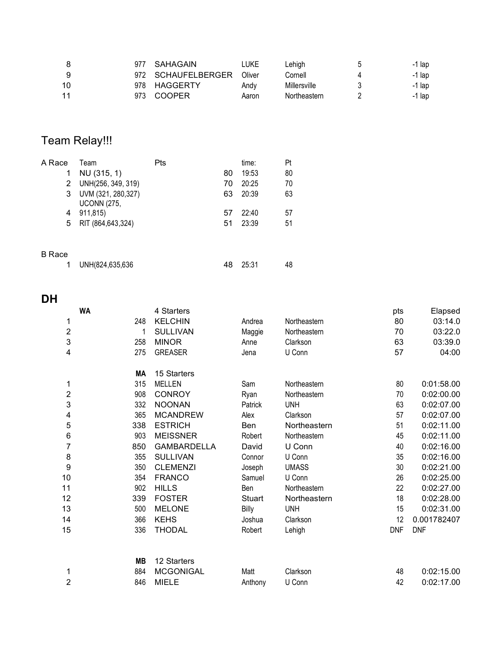| 8  | 977 | SAHAGAIN           | LUKE   | ∟ehigh       | b | -1 lap   |
|----|-----|--------------------|--------|--------------|---|----------|
| 9  |     | 972 SCHAUFELBERGER | Oliver | Cornell      |   | -1 lap   |
| 10 |     | 978 HAGGERTY       | Andy   | Millersville |   | $-1$ lap |
| 11 | 973 | <b>COOPER</b>      | Aaron  | Northeastern |   | -1 lap   |
|    |     |                    |        |              |   |          |
|    |     |                    |        |              |   |          |

# Team Relay!!!

| A Race       | Team                                      | Pts |    | time: | Pt |
|--------------|-------------------------------------------|-----|----|-------|----|
| 1            | NU (315, 1)                               |     | 80 | 19:53 | 80 |
| $\mathbf{2}$ | UNH(256, 349, 319)                        |     | 70 | 20:25 | 70 |
| 3            | UVM (321, 280, 327)<br><b>UCONN (275,</b> |     | 63 | 20:39 | 63 |
| 4            | 911,815)                                  |     | 57 | 22:40 | 57 |
| 5.           | RIT (864,643,324)                         |     | 51 | 23:39 | 51 |
| B Race       |                                           |     |    |       |    |
|              | UNH(824,635,636                           |     | 48 | 25:31 | 48 |

# **DH**

|                         | <b>WA</b> |           | 4 Starters         |         |              | pts        | Elapsed     |
|-------------------------|-----------|-----------|--------------------|---------|--------------|------------|-------------|
| 1                       |           | 248       | <b>KELCHIN</b>     | Andrea  | Northeastern | 80         | 03:14.0     |
| $\overline{\mathbf{c}}$ |           | 1         | <b>SULLIVAN</b>    | Maggie  | Northeastern | 70         | 03:22.0     |
| 3                       |           | 258       | <b>MINOR</b>       | Anne    | Clarkson     | 63         | 03:39.0     |
| 4                       |           | 275       | <b>GREASER</b>     | Jena    | U Conn       | 57         | 04:00       |
|                         |           | МA        | 15 Starters        |         |              |            |             |
| 1                       |           | 315       | <b>MELLEN</b>      | Sam     | Northeastern | 80         | 0:01:58.00  |
| $\overline{2}$          |           | 908       | <b>CONROY</b>      | Ryan    | Northeastern | 70         | 0:02:00.00  |
| 3                       |           | 332       | <b>NOONAN</b>      | Patrick | <b>UNH</b>   | 63         | 0:02:07.00  |
| 4                       |           | 365       | <b>MCANDREW</b>    | Alex    | Clarkson     | 57         | 0:02:07.00  |
| 5                       |           | 338       | <b>ESTRICH</b>     | Ben     | Northeastern | 51         | 0:02:11.00  |
| 6                       |           | 903       | <b>MEISSNER</b>    | Robert  | Northeastern | 45         | 0:02:11.00  |
| 7                       |           | 850       | <b>GAMBARDELLA</b> | David   | U Conn       | 40         | 0:02:16.00  |
| 8                       |           | 355       | <b>SULLIVAN</b>    | Connor  | U Conn       | 35         | 0:02:16.00  |
| 9                       |           | 350       | <b>CLEMENZI</b>    | Joseph  | <b>UMASS</b> | 30         | 0:02:21.00  |
| 10                      |           | 354       | <b>FRANCO</b>      | Samuel  | U Conn       | 26         | 0:02:25.00  |
| 11                      |           | 902       | <b>HILLS</b>       | Ben     | Northeastern | 22         | 0:02:27.00  |
| 12                      |           | 339       | <b>FOSTER</b>      | Stuart  | Northeastern | 18         | 0:02:28.00  |
| 13                      |           | 500       | <b>MELONE</b>      | Billy   | <b>UNH</b>   | 15         | 0:02:31.00  |
| 14                      |           | 366       | <b>KEHS</b>        | Joshua  | Clarkson     | 12         | 0.001782407 |
| 15                      |           | 336       | <b>THODAL</b>      | Robert  | Lehigh       | <b>DNF</b> | <b>DNF</b>  |
|                         |           | <b>MB</b> | 12 Starters        |         |              |            |             |
| 1                       |           | 884       | <b>MCGONIGAL</b>   | Matt    | Clarkson     | 48         | 0:02:15.00  |
| $\overline{2}$          |           | 846       | <b>MIELE</b>       | Anthony | U Conn       | 42         | 0:02:17.00  |